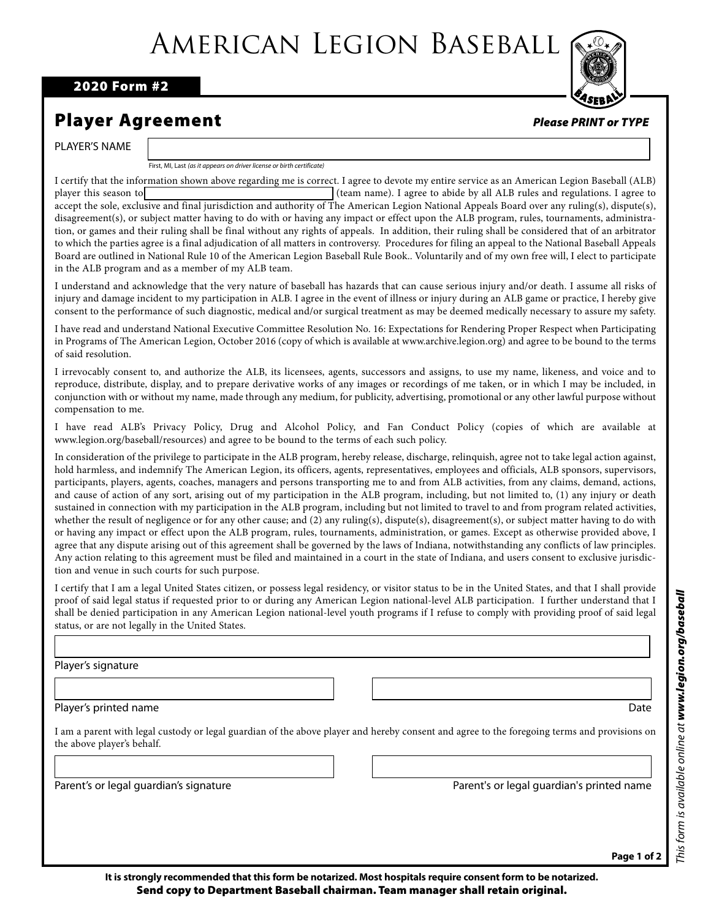## American Legion Baseball

2020 Form #2

## Player Agreement

PLAYER'S NAME

First, MI, Last *(as it appears on driver license or birth certificate)*

I certify that the information shown above regarding me is correct. I agree to devote my entire service as an American Legion Baseball (ALB) player this season to **abide by all ALB** rules and regulations. I agree to abide by all ALB rules and regulations. I agree to accept the sole, exclusive and final jurisdiction and authority of The American Legion National Appeals Board over any ruling(s), dispute(s), disagreement(s), or subject matter having to do with or having any impact or effect upon the ALB program, rules, tournaments, administration, or games and their ruling shall be final without any rights of appeals. In addition, their ruling shall be considered that of an arbitrator to which the parties agree is a final adjudication of all matters in controversy. Procedures for filing an appeal to the National Baseball Appeals Board are outlined in National Rule 10 of the American Legion Baseball Rule Book.. Voluntarily and of my own free will, I elect to participate in the ALB program and as a member of my ALB team.

I understand and acknowledge that the very nature of baseball has hazards that can cause serious injury and/or death. I assume all risks of injury and damage incident to my participation in ALB. I agree in the event of illness or injury during an ALB game or practice, I hereby give consent to the performance of such diagnostic, medical and/or surgical treatment as may be deemed medically necessary to assure my safety.

I have read and understand National Executive Committee Resolution No. 16: Expectations for Rendering Proper Respect when Participating in Programs of The American Legion, October 2016 (copy of which is available at www.archive.legion.org) and agree to be bound to the terms of said resolution.

I irrevocably consent to, and authorize the ALB, its licensees, agents, successors and assigns, to use my name, likeness, and voice and to reproduce, distribute, display, and to prepare derivative works of any images or recordings of me taken, or in which I may be included, in conjunction with or without my name, made through any medium, for publicity, advertising, promotional or any other lawful purpose without compensation to me.

I have read ALB's Privacy Policy, Drug and Alcohol Policy, and Fan Conduct Policy (copies of which are available at www.legion.org/baseball/resources) and agree to be bound to the terms of each such policy.

In consideration of the privilege to participate in the ALB program, hereby release, discharge, relinquish, agree not to take legal action against, hold harmless, and indemnify The American Legion, its officers, agents, representatives, employees and officials, ALB sponsors, supervisors, participants, players, agents, coaches, managers and persons transporting me to and from ALB activities, from any claims, demand, actions, and cause of action of any sort, arising out of my participation in the ALB program, including, but not limited to, (1) any injury or death sustained in connection with my participation in the ALB program, including but not limited to travel to and from program related activities, whether the result of negligence or for any other cause; and (2) any ruling(s), dispute(s), disagreement(s), or subject matter having to do with or having any impact or effect upon the ALB program, rules, tournaments, administration, or games. Except as otherwise provided above, I agree that any dispute arising out of this agreement shall be governed by the laws of Indiana, notwithstanding any conflicts of law principles. Any action relating to this agreement must be filed and maintained in a court in the state of Indiana, and users consent to exclusive jurisdiction and venue in such courts for such purpose.

I certify that I am a legal United States citizen, or possess legal residency, or visitor status to be in the United States, and that I shall provide proof of said legal status if requested prior to or during any American Legion national-level ALB participation. I further understand that I shall be denied participation in any American Legion national-level youth programs if I refuse to comply with providing proof of said legal status, or are not legally in the United States.

Player's signature

Player's printed name Date Date of the Date of the Date of the Date of the Date of the Date of the Date of the Date of the Date of the Date of the Date of the Date of the Date of the Date of the Date of the Date of the Dat

I am a parent with legal custody or legal guardian of the above player and hereby consent and agree to the foregoing terms and provisions on the above player's behalf.

Parent's or legal guardian's signature Parent's or legal guardian's printed name



*Please PRINT or TYPE*